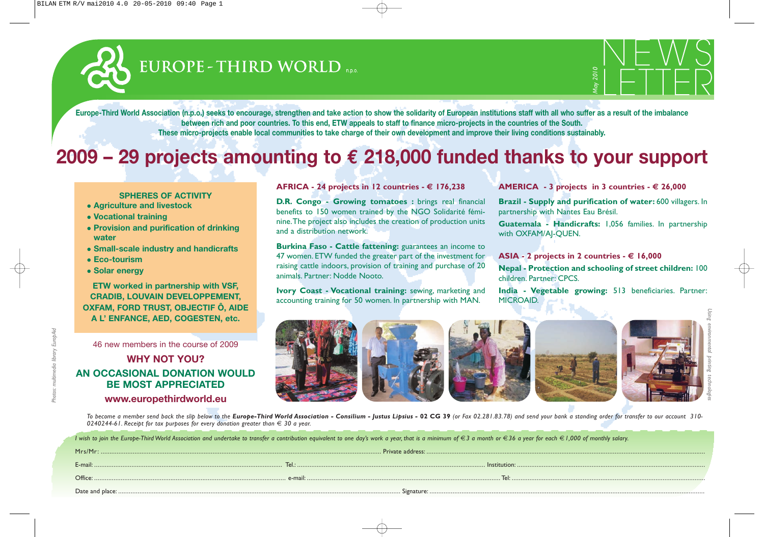# EUROPE - THIRD WORLD



**Europe-Third World Association (n.p.o.) seeks to encourage, strengthen and take action to show the solidarity of European institutions staff with all who suffer as a result of the imbalance between rich and poor countries. To this end, ETW appeals to staff to finance micro-projects in the countries of the South. These micro-projects enable local communities to take charge of their own development and improve their living conditions sustainably.**

## **2009 – 29 projects amounting to € 218,000 funded thanks to your support**

#### **SPHERES OF ACTIVITY**

- **Agriculture and livestock**
- <sup>z</sup> **Vocational training**
- **Provision and purification of drinking water**
- **Small-scale industry and handicrafts**
- **Eco-tourism**
- Solar energy

**ETW worked in partnership with VSF, CRADIB, LOUVAIN DEVELOPPEMENT, OXFAM, FORD TRUST, OBJECTIF Ô, AIDE A L' ENFANCE, AED, COGESTEN, etc.**

46 new members in the course of 2009

## **WHY NOT YOU? AN OCCASIONAL DONATION WOULD BE MOST APPRECIATED www.europethirdworld.eu**

## **AFRICA - 24 projects in 12 countries - € 176,238**

**D.R. Congo - Growing tomatoes :** brings real financial benefits to 150 women trained by the NGO Solidarité féminine.The project also includes the creation of production units and a distribution network.

**Burkina Faso - Cattle fattening:** guarantees an income to 47 women. ETW funded the greater part of the investment for raising cattle indoors, provision of training and purchase of 20 animals. Partner: Nodde Nooto.

**Ivory Coast - Vocational training:** sewing, marketing and accounting training for 50 women. In partnership with MAN.

**AMERICA** - 3 projects in 3 countries -  $\epsilon$  26,000

**Brazil - Supply and purification of water:** 600 villagers. In partnership with Nantes Eau Brésil.

**Guatemala - Handicrafts:** 1,056 families. In partnership with OXFAM/AJ-QUEN.

ASIA - 2 projects in 2 countries  $\cdot \in 16,000$ 

**Nepal - Protection and schooling of street children:** 100 children. Partner: CPCS.

**India - Vegetable growing:** 513 beneficiaries. Partner: MICROAID.



To become a member send back the slip below to the Europe-Third World Association - Consilium - Justus Lipsius - 02 CG 39 (or Fax 02.281.83.78) and send your bank a standing order for transfer to our account 310-0240244-61. Receipt for tax purposes for every donation greater than  $\epsilon$  30 a year.

| I wish to join the Europe-Third World Association and undertake to transfer a contribution equivalent to one day's work a year, that is a minimum of €3 a month or €36 a year for each € 1,000 of monthly salary. |  |  |
|-------------------------------------------------------------------------------------------------------------------------------------------------------------------------------------------------------------------|--|--|
|                                                                                                                                                                                                                   |  |  |
|                                                                                                                                                                                                                   |  |  |
|                                                                                                                                                                                                                   |  |  |
|                                                                                                                                                                                                                   |  |  |